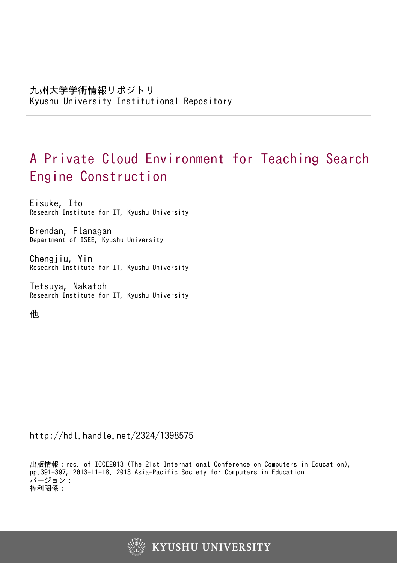# A Private Cloud Environment for Teaching Search Engine Construction

Eisuke, Ito Research Institute for IT, Kyushu University

Brendan, Flanagan Department of ISEE, Kyushu University

Chengjiu, Yin Research Institute for IT, Kyushu University

Tetsuya, Nakatoh Research Institute for IT, Kyushu University

他

http://hdl.handle.net/2324/1398575

出版情報:roc. of ICCE2013 (The 21st International Conference on Computers in Education), pp.391-397, 2013-11-18. 2013 Asia-Pacific Society for Computers in Education バージョン: 権利関係:

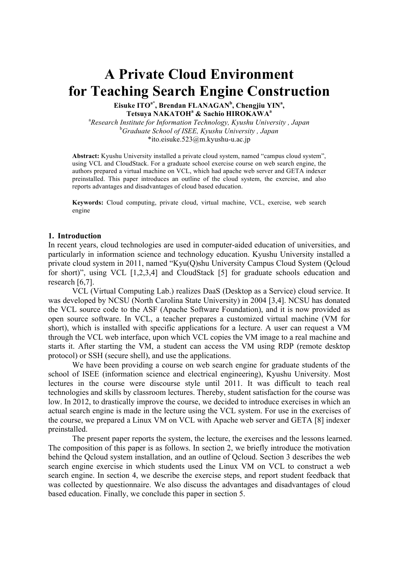# **A Private Cloud Environment for Teaching Search Engine Construction**

Eisuke ITO<sup>a\*</sup>, Brendan FLANAGAN<sup>b</sup>, Chengjiu YIN<sup>a</sup>, **Tetsuya NAKATOH<sup>a</sup> & Sachio HIROKAWA<sup>a</sup>**

a *Research Institute for Information Technology, Kyushu University , Japan* b *Graduate School of ISEE, Kyushu University , Japan* \*ito.eisuke.523@m.kyushu-u.ac.jp

**Abstract:** Kyushu University installed a private cloud system, named "campus cloud system", using VCL and CloudStack. For a graduate school exercise course on web search engine, the authors prepared a virtual machine on VCL, which had apache web server and GETA indexer preinstalled. This paper introduces an outline of the cloud system, the exercise, and also reports advantages and disadvantages of cloud based education.

**Keywords:** Cloud computing, private cloud, virtual machine, VCL, exercise, web search engine

#### **1. Introduction**

In recent years, cloud technologies are used in computer-aided education of universities, and particularly in information science and technology education. Kyushu University installed a private cloud system in 2011, named "Kyu(Q)shu University Campus Cloud System (Qcloud for short)", using VCL [1,2,3,4] and CloudStack [5] for graduate schools education and research [6,7].

VCL (Virtual Computing Lab.) realizes DaaS (Desktop as a Service) cloud service. It was developed by NCSU (North Carolina State University) in 2004 [3,4]. NCSU has donated the VCL source code to the ASF (Apache Software Foundation), and it is now provided as open source software. In VCL, a teacher prepares a customized virtual machine (VM for short), which is installed with specific applications for a lecture. A user can request a VM through the VCL web interface, upon which VCL copies the VM image to a real machine and starts it. After starting the VM, a student can access the VM using RDP (remote desktop protocol) or SSH (secure shell), and use the applications.

We have been providing a course on web search engine for graduate students of the school of ISEE (information science and electrical engineering), Kyushu University. Most lectures in the course were discourse style until 2011. It was difficult to teach real technologies and skills by classroom lectures. Thereby, student satisfaction for the course was low. In 2012, to drastically improve the course, we decided to introduce exercises in which an actual search engine is made in the lecture using the VCL system. For use in the exercises of the course, we prepared a Linux VM on VCL with Apache web server and GETA [8] indexer preinstalled.

The present paper reports the system, the lecture, the exercises and the lessons learned. The composition of this paper is as follows. In section 2, we briefly introduce the motivation behind the Qcloud system installation, and an outline of Qcloud. Section 3 describes the web search engine exercise in which students used the Linux VM on VCL to construct a web search engine. In section 4, we describe the exercise steps, and report student feedback that was collected by questionnaire. We also discuss the advantages and disadvantages of cloud based education. Finally, we conclude this paper in section 5.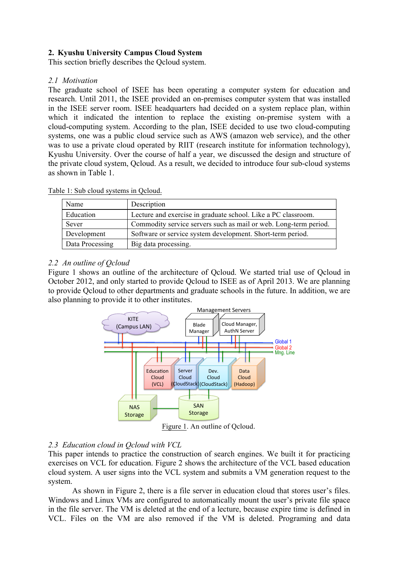# **2. Kyushu University Campus Cloud System**

This section briefly describes the Qcloud system.

## *2.1 Motivation*

The graduate school of ISEE has been operating a computer system for education and research. Until 2011, the ISEE provided an on-premises computer system that was installed in the ISEE server room. ISEE headquarters had decided on a system replace plan, within which it indicated the intention to replace the existing on-premise system with a cloud-computing system. According to the plan, ISEE decided to use two cloud-computing systems, one was a public cloud service such as AWS (amazon web service), and the other was to use a private cloud operated by RIIT (research institute for information technology), Kyushu University. Over the course of half a year, we discussed the design and structure of the private cloud system, Qcloud. As a result, we decided to introduce four sub-cloud systems as shown in Table 1.

| Name            | Description                                                      |
|-----------------|------------------------------------------------------------------|
| Education       | Lecture and exercise in graduate school. Like a PC classroom.    |
| Sever           | Commodity service servers such as mail or web. Long-term period. |
| Development     | Software or service system development. Short-term period.       |
| Data Processing | Big data processing.                                             |

Table 1: Sub cloud systems in Qcloud.

## *2.2 An outline of Qcloud*

Figure 1 shows an outline of the architecture of Qcloud. We started trial use of Qcloud in October 2012, and only started to provide Qcloud to ISEE as of April 2013. We are planning to provide Qcloud to other departments and graduate schools in the future. In addition, we are also planning to provide it to other institutes.



Figure 1. An outline of Qcloud.

## *2.3 Education cloud in Qcloud with VCL*

This paper intends to practice the construction of search engines. We built it for practicing exercises on VCL for education. Figure 2 shows the architecture of the VCL based education cloud system. A user signs into the VCL system and submits a VM generation request to the system.

As shown in Figure 2, there is a file server in education cloud that stores user's files. Windows and Linux VMs are configured to automatically mount the user's private file space in the file server. The VM is deleted at the end of a lecture, because expire time is defined in VCL. Files on the VM are also removed if the VM is deleted. Programing and data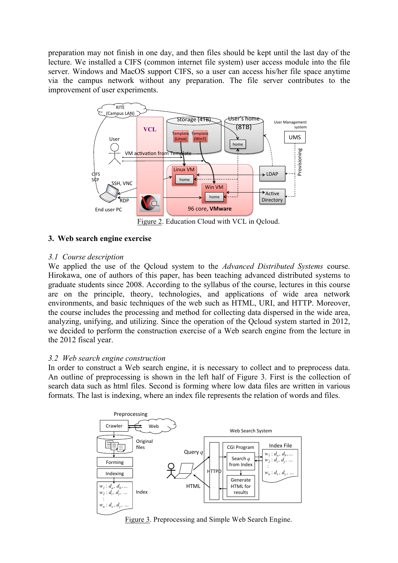preparation may not finish in one day, and then files should be kept until the last day of the lecture. We installed a CIFS (common internet file system) user access module into the file server. Windows and MacOS support CIFS, so a user can access his/her file space anytime via the campus network without any preparation. The file server contributes to the improvement of user experiments.



**3. Web search engine exercise**

# *3.1 Course description*

We applied the use of the Qcloud system to the *Advanced Distributed Systems* course. Hirokawa, one of authors of this paper, has been teaching advanced distributed systems to graduate students since 2008. According to the syllabus of the course, lectures in this course are on the principle, theory, technologies, and applications of wide area network environments, and basic techniques of the web such as HTML, URI, and HTTP. Moreover, the course includes the processing and method for collecting data dispersed in the wide area, analyzing, unifying, and utilizing. Since the operation of the Qcloud system started in 2012, we decided to perform the construction exercise of a Web search engine from the lecture in the 2012 fiscal year.

# *3.2 Web search engine construction*

In order to construct a Web search engine, it is necessary to collect and to preprocess data. An outline of preprocessing is shown in the left half of Figure 3. First is the collection of search data such as html files. Second is forming where low data files are written in various formats. The last is indexing, where an index file represents the relation of words and files.



Figure 3. Preprocessing and Simple Web Search Engine.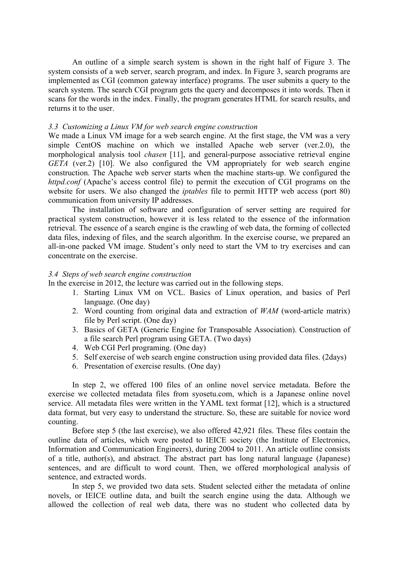An outline of a simple search system is shown in the right half of Figure 3. The system consists of a web server, search program, and index. In Figure 3, search programs are implemented as CGI (common gateway interface) programs. The user submits a query to the search system. The search CGI program gets the query and decomposes it into words. Then it scans for the words in the index. Finally, the program generates HTML for search results, and returns it to the user.

#### *3.3 Customizing a Linux VM for web search engine construction*

We made a Linux VM image for a web search engine. At the first stage, the VM was a very simple CentOS machine on which we installed Apache web server (ver.2.0), the morphological analysis tool *chasen* [11], and general-purpose associative retrieval engine *GETA* (ver.2) [10]. We also configured the VM appropriately for web search engine construction. The Apache web server starts when the machine starts-up. We configured the *httpd.conf* (Apache's access control file) to permit the execution of CGI programs on the website for users. We also changed the *iptables* file to permit HTTP web access (port 80) communication from university IP addresses.

The installation of software and configuration of server setting are required for practical system construction, however it is less related to the essence of the information retrieval. The essence of a search engine is the crawling of web data, the forming of collected data files, indexing of files, and the search algorithm. In the exercise course, we prepared an all-in-one packed VM image. Student's only need to start the VM to try exercises and can concentrate on the exercise.

## *3.4 Steps of web search engine construction*

In the exercise in 2012, the lecture was carried out in the following steps.

- 1. Starting Linux VM on VCL. Basics of Linux operation, and basics of Perl language. (One day)
- 2. Word counting from original data and extraction of *WAM* (word-article matrix) file by Perl script. (One day)
- 3. Basics of GETA (Generic Engine for Transposable Association). Construction of a file search Perl program using GETA. (Two days)
- 4. Web CGI Perl programing. (One day)
- 5. Self exercise of web search engine construction using provided data files. (2days)
- 6. Presentation of exercise results. (One day)

In step 2, we offered 100 files of an online novel service metadata. Before the exercise we collected metadata files from syosetu.com, which is a Japanese online novel service. All metadata files were written in the YAML text format [12], which is a structured data format, but very easy to understand the structure. So, these are suitable for novice word counting.

Before step 5 (the last exercise), we also offered 42,921 files. These files contain the outline data of articles, which were posted to IEICE society (the Institute of Electronics, Information and Communication Engineers), during 2004 to 2011. An article outline consists of a title, author(s), and abstract. The abstract part has long natural language (Japanese) sentences, and are difficult to word count. Then, we offered morphological analysis of sentence, and extracted words.

In step 5, we provided two data sets. Student selected either the metadata of online novels, or IEICE outline data, and built the search engine using the data. Although we allowed the collection of real web data, there was no student who collected data by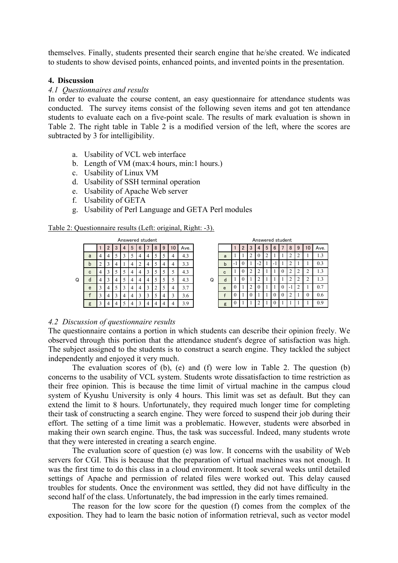themselves. Finally, students presented their search engine that he/she created. We indicated to students to show devised points, enhanced points, and invented points in the presentation.

#### **4. Discussion**

#### *4.1 Questionnaires and results*

In order to evaluate the course content, an easy questionnaire for attendance students was conducted. The survey items consist of the following seven items and got ten attendance students to evaluate each on a five-point scale. The results of mark evaluation is shown in Table 2. The right table in Table 2 is a modified version of the left, where the scores are subtracted by 3 for intelligibility.

- a. Usability of VCL web interface
- b. Length of VM (max:4 hours, min:1 hours.)
- c. Usability of Linux VM
- d. Usability of SSH terminal operation
- e. Usability of Apache Web server
- f. Usability of GETA
- g. Usability of Perl Language and GETA Perl modules

#### Table 2: Questionnaire results (Left: original, Right: -3).

| Answered student |   |   |   |   |   |   |   |   |   |        |    |      |     |   |  |
|------------------|---|---|---|---|---|---|---|---|---|--------|----|------|-----|---|--|
|                  |   |   | 2 | 3 | 4 | 5 | 6 |   | 8 | 9      | 10 | Ave. |     |   |  |
|                  | a | 4 | 4 | 5 | 3 | 5 | 4 | 4 | 5 | 5      | 4  | 4.3  |     |   |  |
|                  | b | 2 | 3 | 4 |   | 4 | 2 | 4 | 5 | 4      | 4  | 3.3  |     |   |  |
|                  | C | 4 | 3 | 5 | 5 | 4 | 4 |   | 5 | 5      | 5  | 4.3  |     |   |  |
| Q                | d | 4 | 3 | 4 | 5 | 4 | 4 | 4 | 5 | 5      | 5  | 4.3  |     | Q |  |
|                  | e | 3 |   | 4 | 5 | 3 | 4 | 4 | 3 | 2      | 5  | 4    | 3.7 |   |  |
|                  | f | 3 | 4 | 3 | 4 | 4 | 3 | 3 | 5 | 3<br>4 |    | 3.6  |     |   |  |
|                  | g | ٦ | 4 | 4 | 5 | 4 | ٩ |   |   | 4      | 4  | 3.9  |     |   |  |

| Answered student |        |    |   |   |   |   |   |   |   |    |      | Answered student |  |   |     |   |                |    |   |   |  |                          |   |        |      |
|------------------|--------|----|---|---|---|---|---|---|---|----|------|------------------|--|---|-----|---|----------------|----|---|---|--|--------------------------|---|--------|------|
|                  |        | 2  | 3 | 4 | 5 | 6 |   | 8 | 9 | 10 | Ave. |                  |  |   |     | 2 | 3              |    | 5 | 6 |  | 8                        | 9 | 10     | Ave. |
| a                | 4      | 4  | 5 |   |   | 4 | 4 |   |   | 4  | 4.3  |                  |  | a |     |   | $\overline{c}$ |    |   |   |  |                          |   |        | 1.3  |
| b                |        | Ć. | 4 |   | 4 |   | 4 |   | 4 | 4  | 3.3  |                  |  | b | - 1 | v |                | -2 |   | ۰ |  |                          |   |        | 0.3  |
| C                | 4      | 3  | 5 | 5 | 4 |   | 3 |   |   | 5  | 4.3  |                  |  | c |     |   | 2              |    |   |   |  |                          |   | ◠<br>∠ | 1.3  |
| ď                | 4      | 3  | 4 |   | 4 |   | 4 |   |   | C  | 4.3  | Q                |  | d |     |   |                |    |   |   |  |                          |   | ◠<br>∠ | 1.3  |
| e                |        | 4  | 5 |   | 4 |   | 3 |   |   | 4  | 3.7  |                  |  | e |     |   | $\overline{c}$ |    |   |   |  | $\overline{\phantom{a}}$ |   |        | 0.7  |
| £                |        | 4  | 3 | 4 | 4 |   | 3 |   | 4 | 3  | 3.6  |                  |  |   | U   |   | $\theta$       |    |   |   |  |                          |   | 0      | 0.6  |
| g                | $\sim$ | 4  | 4 |   | 4 |   | 4 |   |   | 4  | 3.9  |                  |  | g |     |   |                |    |   |   |  |                          |   |        | 0.9  |

#### *4.2 Discussion of questionnaire results*

The questionnaire contains a portion in which students can describe their opinion freely. We observed through this portion that the attendance student's degree of satisfaction was high. The subject assigned to the students is to construct a search engine. They tackled the subject independently and enjoyed it very much.

The evaluation scores of (b), (e) and (f) were low in Table 2. The question (b) concerns to the usability of VCL system. Students wrote dissatisfaction to time restriction as their free opinion. This is because the time limit of virtual machine in the campus cloud system of Kyushu University is only 4 hours. This limit was set as default. But they can extend the limit to 8 hours. Unfortunately, they required much longer time for completing their task of constructing a search engine. They were forced to suspend their job during their effort. The setting of a time limit was a problematic. However, students were absorbed in making their own search engine. Thus, the task was successful. Indeed, many students wrote that they were interested in creating a search engine.

The evaluation score of question (e) was low. It concerns with the usability of Web servers for CGI. This is because that the preparation of virtual machines was not enough. It was the first time to do this class in a cloud environment. It took several weeks until detailed settings of Apache and permission of related files were worked out. This delay caused troubles for students. Once the environment was settled, they did not have difficulty in the second half of the class. Unfortunately, the bad impression in the early times remained.

The reason for the low score for the question (f) comes from the complex of the exposition. They had to learn the basic notion of information retrieval, such as vector model